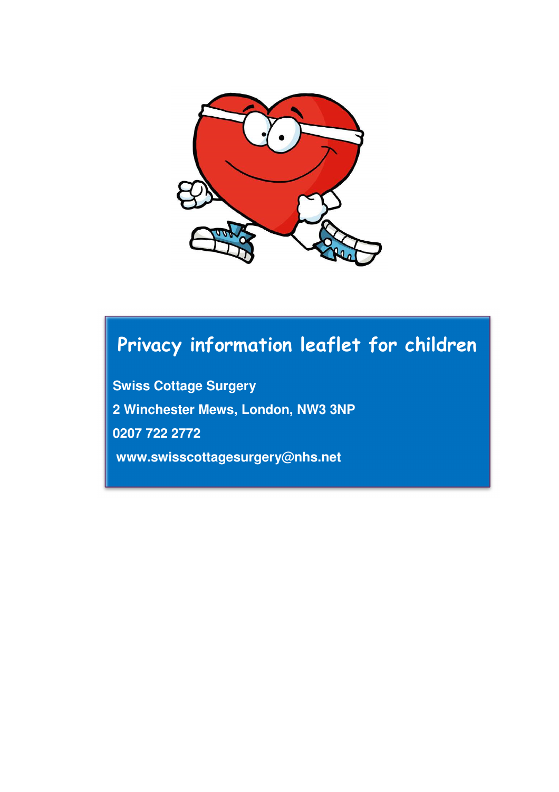

# **Privacy information leaflet for children**

**Swiss Cottage Surgery 2 Winchester Mews, London, NW3 3NP 0207 722 2772 www.swisscottagesurgery@nhs.net**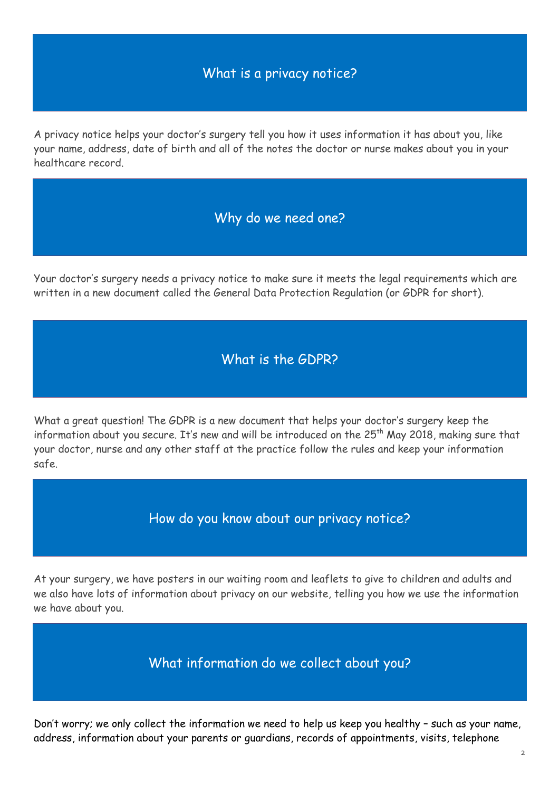## What is a privacy notice?

A privacy notice helps your doctor's surgery tell you how it uses information it has about you, like your name, address, date of birth and all of the notes the doctor or nurse makes about you in your healthcare record.

#### Why do we need one?

Your doctor's surgery needs a privacy notice to make sure it meets the legal requirements which are written in a new document called the General Data Protection Regulation (or GDPR for short).

#### What is the GDPR?

What a great question! The GDPR is a new document that helps your doctor's surgery keep the information about you secure. It's new and will be introduced on the 25<sup>th</sup> May 2018, making sure that your doctor, nurse and any other staff at the practice follow the rules and keep your information safe.

#### How do you know about our privacy notice?

At your surgery, we have posters in our waiting room and leaflets to give to children and adults and we also have lots of information about privacy on our website, telling you how we use the information we have about you.

What information do we collect about you?

Don't worry; we only collect the information we need to help us keep you healthy – such as your name, address, information about your parents or guardians, records of appointments, visits, telephone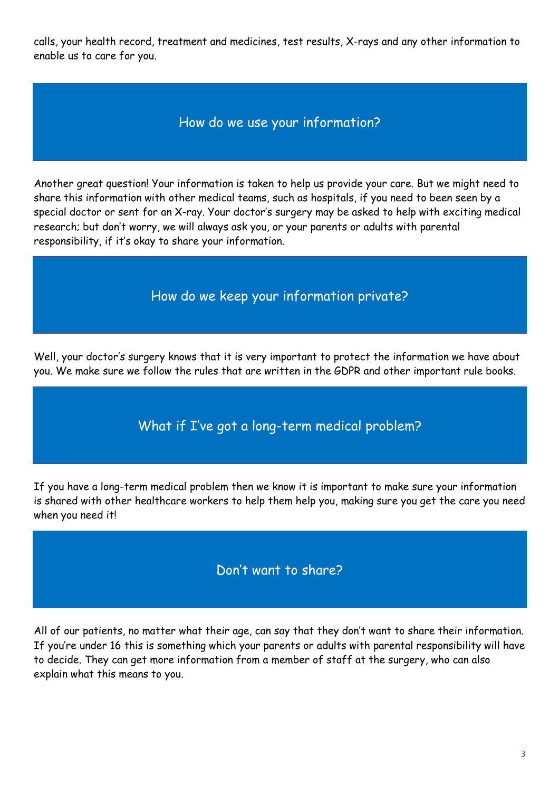calls, your health record, treatment and medicines, test results, X-rays and any other information to enable us to care for you.

## How do we use your information?

Another great question! Your information is taken to help us provide your care. But we might need to share this information with other medical teams, such as hospitals, if you need to been seen by a special doctor or sent for an X-ray. Your doctor's surgery may be asked to help with exciting medical research; but don't worry, we will always ask you, or your parents or adults with parental responsibility, if it's okay to share your information.

## How do we keep your information private?

Well, your doctor's surgery knows that it is very important to protect the information we have about you. We make sure we follow the rules that are written in the GDPR and other important rule books.

## What if I've got a long-term medical problem?

If you have a long-term medical problem then we know it is important to make sure your information is shared with other healthcare workers to help them help you, making sure you get the care you need when you need it!

#### Don't want to share?

All of our patients, no matter what their age, can say that they don't want to share their information. If you're under 16 this is something which your parents or adults with parental responsibility will have to decide. They can get more information from a member of staff at the surgery, who can also explain what this means to you.